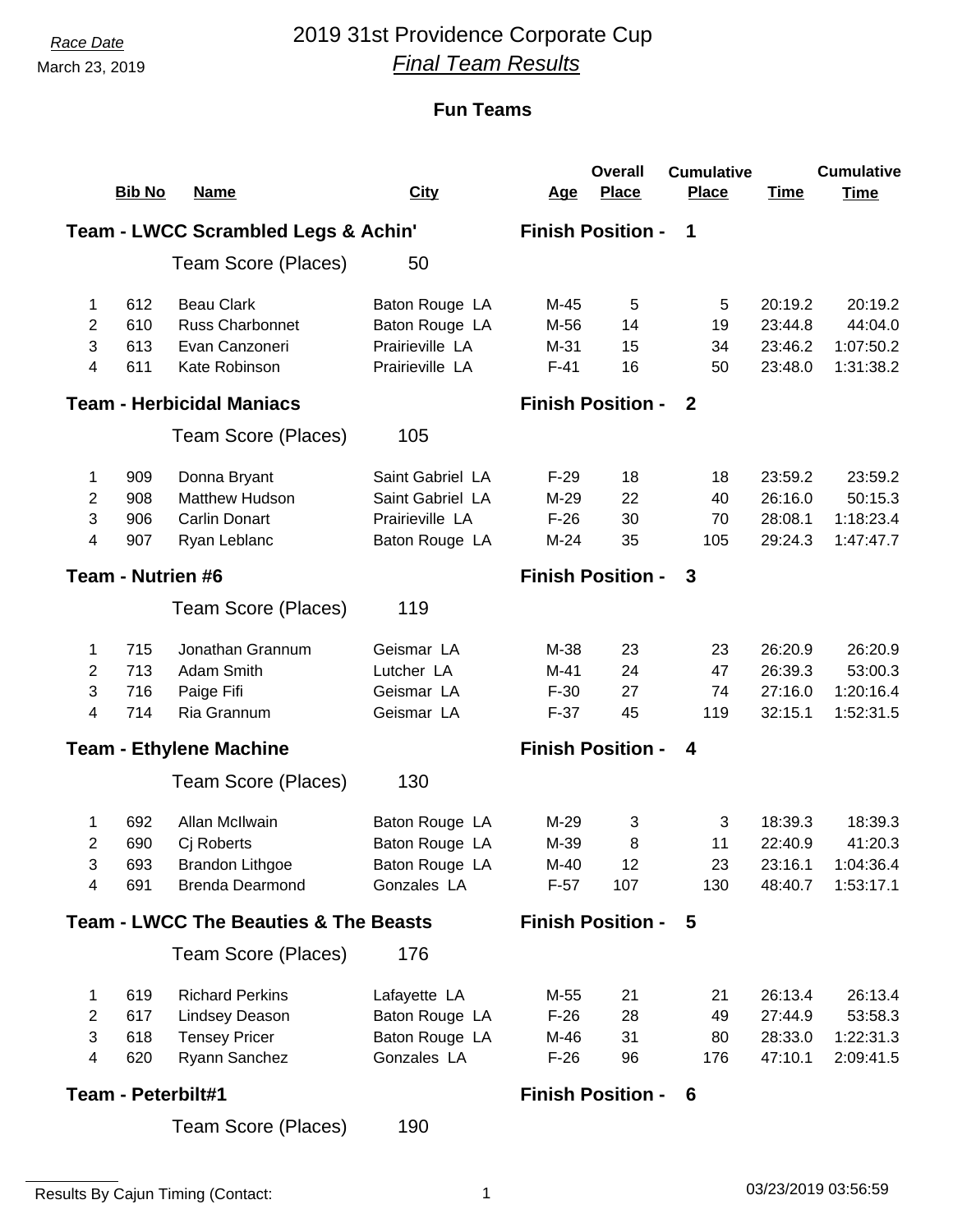# *Race Date* 2019 31st Providence Corporate Cup *Final Team Results*

|                |                    |                                                  |                  |            | <b>Overall</b>           | <b>Cumulative</b> |             | <b>Cumulative</b> |
|----------------|--------------------|--------------------------------------------------|------------------|------------|--------------------------|-------------------|-------------|-------------------|
|                | <b>Bib No</b>      | <b>Name</b>                                      | <b>City</b>      | <u>Age</u> | <b>Place</b>             | <b>Place</b>      | <b>Time</b> | <b>Time</b>       |
|                |                    | <b>Team - LWCC Scrambled Legs &amp; Achin'</b>   |                  |            | <b>Finish Position -</b> | $\mathbf 1$       |             |                   |
|                |                    | Team Score (Places)                              | 50               |            |                          |                   |             |                   |
| 1              | 612                | <b>Beau Clark</b>                                | Baton Rouge LA   | M-45       | 5                        | 5                 | 20:19.2     | 20:19.2           |
| 2              | 610                | <b>Russ Charbonnet</b>                           | Baton Rouge LA   | M-56       | 14                       | 19                | 23:44.8     | 44:04.0           |
| 3              | 613                | Evan Canzoneri                                   | Prairieville LA  | $M-31$     | 15                       | 34                | 23:46.2     | 1:07:50.2         |
| 4              | 611                | Kate Robinson                                    | Prairieville LA  | $F-41$     | 16                       | 50                | 23:48.0     | 1:31:38.2         |
|                |                    | <b>Team - Herbicidal Maniacs</b>                 |                  |            | <b>Finish Position -</b> | $\mathbf{2}$      |             |                   |
|                |                    | Team Score (Places)                              | 105              |            |                          |                   |             |                   |
| 1              | 909                | Donna Bryant                                     | Saint Gabriel LA | $F-29$     | 18                       | 18                | 23:59.2     | 23:59.2           |
| $\overline{c}$ | 908                | <b>Matthew Hudson</b>                            | Saint Gabriel LA | $M-29$     | 22                       | 40                | 26:16.0     | 50:15.3           |
| 3              | 906                | <b>Carlin Donart</b>                             | Prairieville LA  | $F-26$     | 30                       | 70                | 28:08.1     | 1:18:23.4         |
| 4              | 907                | Ryan Leblanc                                     | Baton Rouge LA   | $M-24$     | 35                       | 105               | 29:24.3     | 1:47:47.7         |
|                | Team - Nutrien #6  |                                                  |                  |            | <b>Finish Position -</b> | 3                 |             |                   |
|                |                    | Team Score (Places)                              | 119              |            |                          |                   |             |                   |
| 1              | 715                | Jonathan Grannum                                 | Geismar LA       | M-38       | 23                       | 23                | 26:20.9     | 26:20.9           |
| $\overline{2}$ | 713                | Adam Smith                                       | Lutcher LA       | M-41       | 24                       | 47                | 26:39.3     | 53:00.3           |
| 3              | 716                | Paige Fifi                                       | Geismar LA       | $F-30$     | 27                       | 74                | 27:16.0     | 1:20:16.4         |
| 4              | 714                | Ria Grannum                                      | Geismar LA       | $F-37$     | 45                       | 119               | 32:15.1     | 1:52:31.5         |
|                |                    | <b>Team - Ethylene Machine</b>                   |                  |            | <b>Finish Position -</b> | 4                 |             |                   |
|                |                    | Team Score (Places)                              | 130              |            |                          |                   |             |                   |
| 1              | 692                | Allan McIlwain                                   | Baton Rouge LA   | M-29       | 3                        | 3                 | 18:39.3     | 18:39.3           |
| 2              | 690                | Cj Roberts                                       | Baton Rouge LA   | M-39       | 8                        | 11                | 22:40.9     | 41:20.3           |
| 3              | 693                | <b>Brandon Lithgoe</b>                           | Baton Rouge LA   | $M-40$     | 12                       | 23                | 23:16.1     | 1:04:36.4         |
| 4              | 691                | <b>Brenda Dearmond</b>                           | Gonzales LA      | $F-57$     | 107                      | 130               | 48:40.7     | 1:53:17.1         |
|                |                    | <b>Team - LWCC The Beauties &amp; The Beasts</b> |                  |            | <b>Finish Position -</b> | 5                 |             |                   |
|                |                    | Team Score (Places)                              | 176              |            |                          |                   |             |                   |
| 1              | 619                | <b>Richard Perkins</b>                           | Lafayette LA     | M-55       | 21                       | 21                | 26:13.4     | 26:13.4           |
| $\overline{2}$ | 617                | <b>Lindsey Deason</b>                            | Baton Rouge LA   | $F-26$     | 28                       | 49                | 27:44.9     | 53:58.3           |
| 3              | 618                | <b>Tensey Pricer</b>                             | Baton Rouge LA   | M-46       | 31                       | 80                | 28:33.0     | 1:22:31.3         |
| 4              | 620                | Ryann Sanchez                                    | Gonzales LA      | $F-26$     | 96                       | 176               | 47:10.1     | 2:09:41.5         |
|                | Team - Peterbilt#1 |                                                  |                  |            | <b>Finish Position -</b> | 6                 |             |                   |
|                |                    | Team Score (Places)                              | 190              |            |                          |                   |             |                   |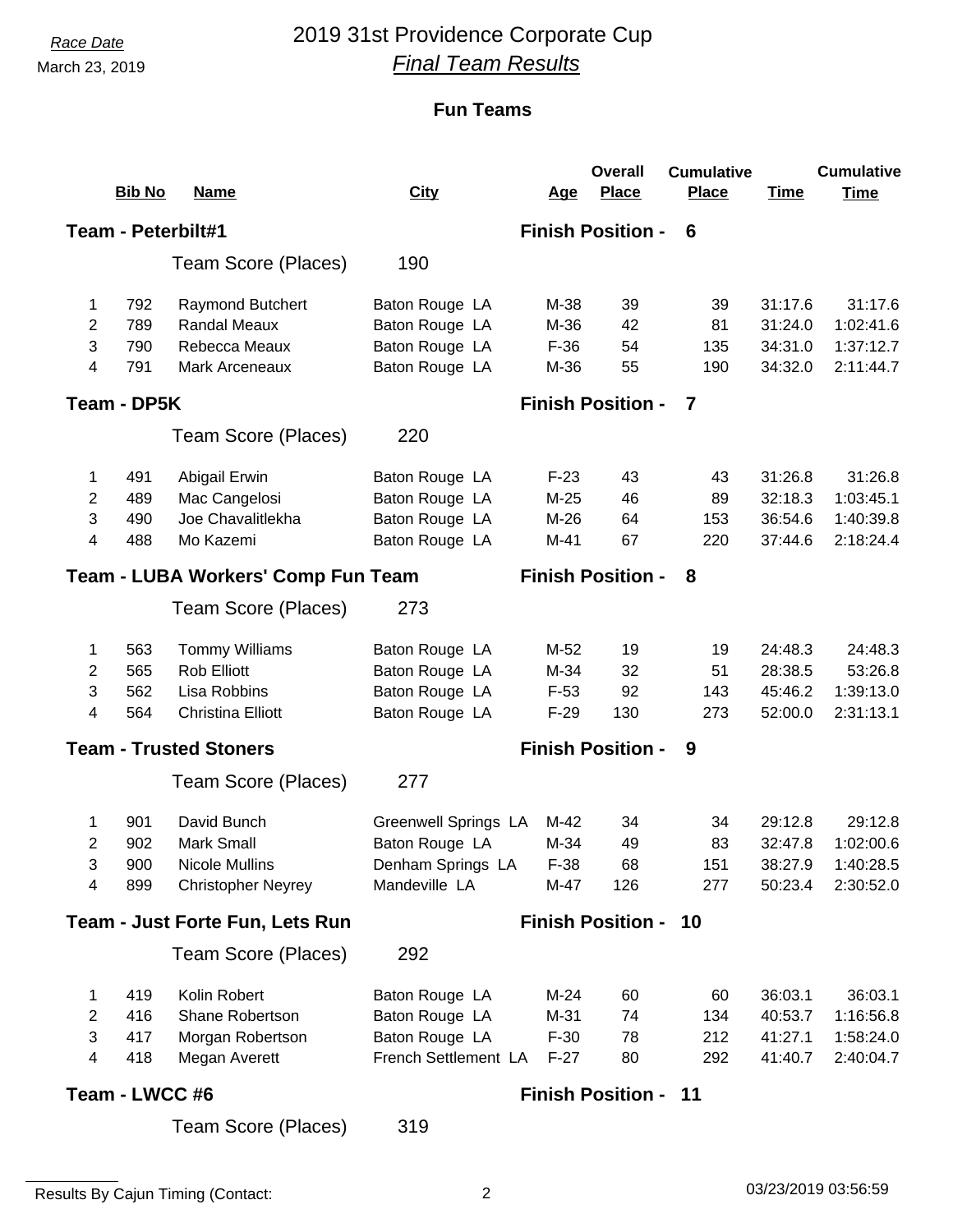# *Race Date* 2019 31st Providence Corporate Cup *Final Team Results*

### **Fun Teams**

|                | <b>Bib No</b>      | <b>Name</b>                               | <b>City</b>                 | <u>Age</u> | <b>Overall</b><br><b>Place</b> | <b>Cumulative</b><br><b>Place</b> | <b>Time</b> | <b>Cumulative</b><br><b>Time</b> |
|----------------|--------------------|-------------------------------------------|-----------------------------|------------|--------------------------------|-----------------------------------|-------------|----------------------------------|
|                |                    |                                           |                             |            |                                |                                   |             |                                  |
|                | Team - Peterbilt#1 |                                           |                             |            | <b>Finish Position -</b>       | 6                                 |             |                                  |
|                |                    | Team Score (Places)                       | 190                         |            |                                |                                   |             |                                  |
| 1              | 792                | <b>Raymond Butchert</b>                   | Baton Rouge LA              | M-38       | 39                             | 39                                | 31:17.6     | 31:17.6                          |
| $\overline{2}$ | 789                | <b>Randal Meaux</b>                       | Baton Rouge LA              | M-36       | 42                             | 81                                | 31:24.0     | 1:02:41.6                        |
| 3              | 790                | Rebecca Meaux                             | Baton Rouge LA              | $F-36$     | 54                             | 135                               | 34:31.0     | 1:37:12.7                        |
| 4              | 791                | Mark Arceneaux                            | Baton Rouge LA              | M-36       | 55                             | 190                               | 34:32.0     | 2:11:44.7                        |
|                | Team - DP5K        |                                           |                             |            | <b>Finish Position -</b>       | 7                                 |             |                                  |
|                |                    | Team Score (Places)                       | 220                         |            |                                |                                   |             |                                  |
| 1              | 491                | Abigail Erwin                             | Baton Rouge LA              | $F-23$     | 43                             | 43                                | 31:26.8     | 31:26.8                          |
| $\overline{2}$ | 489                | Mac Cangelosi                             | Baton Rouge LA              | $M-25$     | 46                             | 89                                | 32:18.3     | 1:03:45.1                        |
| 3              | 490                | Joe Chavalitlekha                         | Baton Rouge LA              | $M-26$     | 64                             | 153                               | 36:54.6     | 1:40:39.8                        |
| 4              | 488                | Mo Kazemi                                 | Baton Rouge LA              | $M-41$     | 67                             | 220                               | 37:44.6     | 2:18:24.4                        |
|                |                    | <b>Team - LUBA Workers' Comp Fun Team</b> |                             |            | <b>Finish Position -</b>       | 8                                 |             |                                  |
|                |                    | Team Score (Places)                       | 273                         |            |                                |                                   |             |                                  |
| 1              | 563                | <b>Tommy Williams</b>                     | Baton Rouge LA              | M-52       | 19                             | 19                                | 24:48.3     | 24:48.3                          |
| 2              | 565                | <b>Rob Elliott</b>                        | Baton Rouge LA              | M-34       | 32                             | 51                                | 28:38.5     | 53:26.8                          |
| 3              | 562                | Lisa Robbins                              | Baton Rouge LA              | $F-53$     | 92                             | 143                               | 45:46.2     | 1:39:13.0                        |
| 4              | 564                | <b>Christina Elliott</b>                  | Baton Rouge LA              | $F-29$     | 130                            | 273                               | 52:00.0     | 2:31:13.1                        |
|                |                    | <b>Team - Trusted Stoners</b>             |                             |            | <b>Finish Position -</b>       | 9                                 |             |                                  |
|                |                    | Team Score (Places)                       | 277                         |            |                                |                                   |             |                                  |
| 1              | 901                | David Bunch                               | <b>Greenwell Springs LA</b> | M-42       | 34                             | 34                                | 29:12.8     | 29:12.8                          |
| 2              | 902                | Mark Small                                | Baton Rouge LA              | M-34       | 49                             | 83                                | 32:47.8     | 1:02:00.6                        |
| 3              | 900                | <b>Nicole Mullins</b>                     | Denham Springs LA           | $F-38$     | 68                             | 151                               | 38:27.9     | 1:40:28.5                        |
| 4              | 899                | <b>Christopher Neyrey</b>                 | Mandeville LA               | M-47       | 126                            | 277                               | 50:23.4     | 2:30:52.0                        |
|                |                    | <b>Team - Just Forte Fun, Lets Run</b>    |                             |            | <b>Finish Position - 10</b>    |                                   |             |                                  |
|                |                    | Team Score (Places)                       | 292                         |            |                                |                                   |             |                                  |
| 1              | 419                | Kolin Robert                              | Baton Rouge LA              | $M-24$     | 60                             | 60                                | 36:03.1     | 36:03.1                          |
| $\overline{2}$ | 416                | Shane Robertson                           | Baton Rouge LA              | $M-31$     | 74                             | 134                               | 40:53.7     | 1:16:56.8                        |
| 3              | 417                | Morgan Robertson                          | Baton Rouge LA              | $F-30$     | 78                             | 212                               | 41:27.1     | 1:58:24.0                        |
| 4              | 418                | Megan Averett                             | French Settlement LA        | $F-27$     | 80                             | 292                               | 41:40.7     | 2:40:04.7                        |
|                | Team - LWCC #6     |                                           |                             |            | <b>Finish Position - 11</b>    |                                   |             |                                  |

319 Team Score (Places)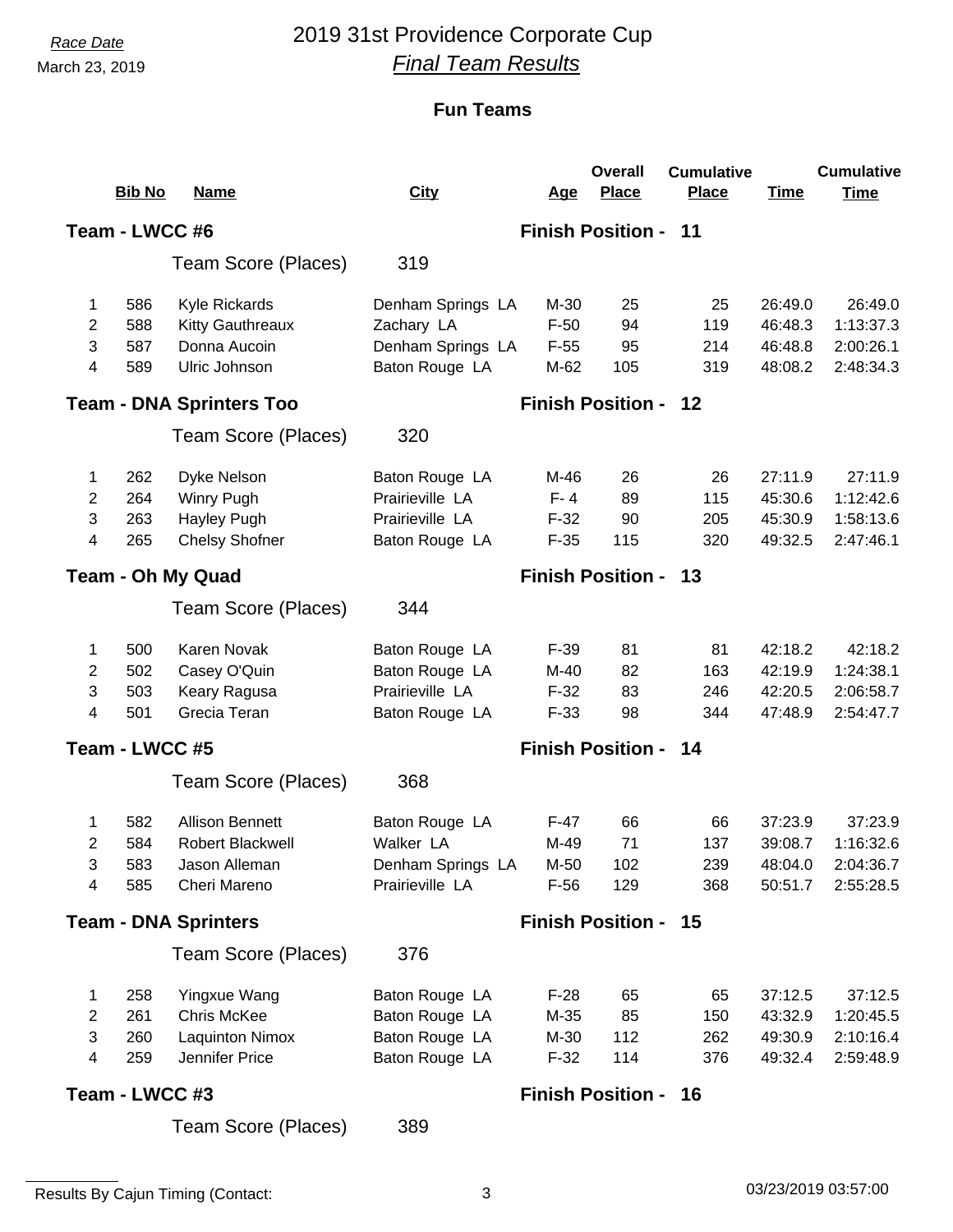# *Race Date* 2019 31st Providence Corporate Cup *Final Team Results*

|                          |                |                                 |                   |            | <b>Overall</b>              | <b>Cumulative</b> |             | <b>Cumulative</b> |
|--------------------------|----------------|---------------------------------|-------------------|------------|-----------------------------|-------------------|-------------|-------------------|
|                          | <b>Bib No</b>  | <b>Name</b>                     | <b>City</b>       | <u>Age</u> | <b>Place</b>                | <b>Place</b>      | <b>Time</b> | <b>Time</b>       |
|                          | Team - LWCC #6 |                                 |                   |            | <b>Finish Position - 11</b> |                   |             |                   |
|                          |                | Team Score (Places)             | 319               |            |                             |                   |             |                   |
| 1                        | 586            | Kyle Rickards                   | Denham Springs LA | M-30       | 25                          | 25                | 26:49.0     | 26:49.0           |
| 2                        | 588            | <b>Kitty Gauthreaux</b>         | Zachary LA        | $F-50$     | 94                          | 119               | 46:48.3     | 1:13:37.3         |
| 3                        | 587            | Donna Aucoin                    | Denham Springs LA | $F-55$     | 95                          | 214               | 46:48.8     | 2:00:26.1         |
| $\overline{\mathcal{A}}$ | 589            | Ulric Johnson                   | Baton Rouge LA    | M-62       | 105                         | 319               | 48:08.2     | 2:48:34.3         |
|                          |                | <b>Team - DNA Sprinters Too</b> |                   |            | <b>Finish Position -</b>    | - 12              |             |                   |
|                          |                | Team Score (Places)             | 320               |            |                             |                   |             |                   |
| 1                        | 262            | Dyke Nelson                     | Baton Rouge LA    | M-46       | 26                          | 26                | 27:11.9     | 27:11.9           |
| $\overline{2}$           | 264            | Winry Pugh                      | Prairieville LA   | $F - 4$    | 89                          | 115               | 45:30.6     | 1:12:42.6         |
| 3                        | 263            | Hayley Pugh                     | Prairieville LA   | $F-32$     | 90                          | 205               | 45:30.9     | 1:58:13.6         |
| 4                        | 265            | <b>Chelsy Shofner</b>           | Baton Rouge LA    | $F-35$     | 115                         | 320               | 49:32.5     | 2:47:46.1         |
|                          |                | <b>Team - Oh My Quad</b>        |                   |            | <b>Finish Position - 13</b> |                   |             |                   |
|                          |                | Team Score (Places)             | 344               |            |                             |                   |             |                   |
| 1                        | 500            | Karen Novak                     | Baton Rouge LA    | $F-39$     | 81                          | 81                | 42:18.2     | 42:18.2           |
| 2                        | 502            | Casey O'Quin                    | Baton Rouge LA    | $M-40$     | 82                          | 163               | 42:19.9     | 1:24:38.1         |
| 3                        | 503            | Keary Ragusa                    | Prairieville LA   | $F-32$     | 83                          | 246               | 42:20.5     | 2:06:58.7         |
| $\overline{4}$           | 501            | Grecia Teran                    | Baton Rouge LA    | $F-33$     | 98                          | 344               | 47:48.9     | 2:54:47.7         |
|                          | Team - LWCC #5 |                                 |                   |            | <b>Finish Position -</b>    | - 14              |             |                   |
|                          |                | Team Score (Places)             | 368               |            |                             |                   |             |                   |
| 1                        | 582            | <b>Allison Bennett</b>          | Baton Rouge LA    | $F-47$     | 66                          | 66                | 37:23.9     | 37:23.9           |
| 2                        | 584            | Robert Blackwell                | Walker LA         | M-49       | 71                          | 137               | 39:08.7     | 1:16:32.6         |
| 3                        | 583            | Jason Alleman                   | Denham Springs LA | M-50       | 102                         | 239               | 48:04.0     | 2:04:36.7         |
| 4                        | 585            | Cheri Mareno                    | Prairieville LA   | $F-56$     | 129                         | 368               | 50:51.7     | 2:55:28.5         |
|                          |                | <b>Team - DNA Sprinters</b>     |                   |            | <b>Finish Position - 15</b> |                   |             |                   |
|                          |                | Team Score (Places)             | 376               |            |                             |                   |             |                   |
| 1                        | 258            | Yingxue Wang                    | Baton Rouge LA    | $F-28$     | 65                          | 65                | 37:12.5     | 37:12.5           |
| 2                        | 261            | Chris McKee                     | Baton Rouge LA    | M-35       | 85                          | 150               | 43:32.9     | 1:20:45.5         |
| $\sqrt{3}$               | 260            | <b>Laquinton Nimox</b>          | Baton Rouge LA    | M-30       | 112                         | 262               | 49:30.9     | 2:10:16.4         |
| 4                        | 259            | Jennifer Price                  | Baton Rouge LA    | $F-32$     | 114                         | 376               | 49:32.4     | 2:59:48.9         |
|                          | Team - LWCC #3 |                                 |                   |            | <b>Finish Position - 16</b> |                   |             |                   |
|                          |                | Team Score (Places)             | 389               |            |                             |                   |             |                   |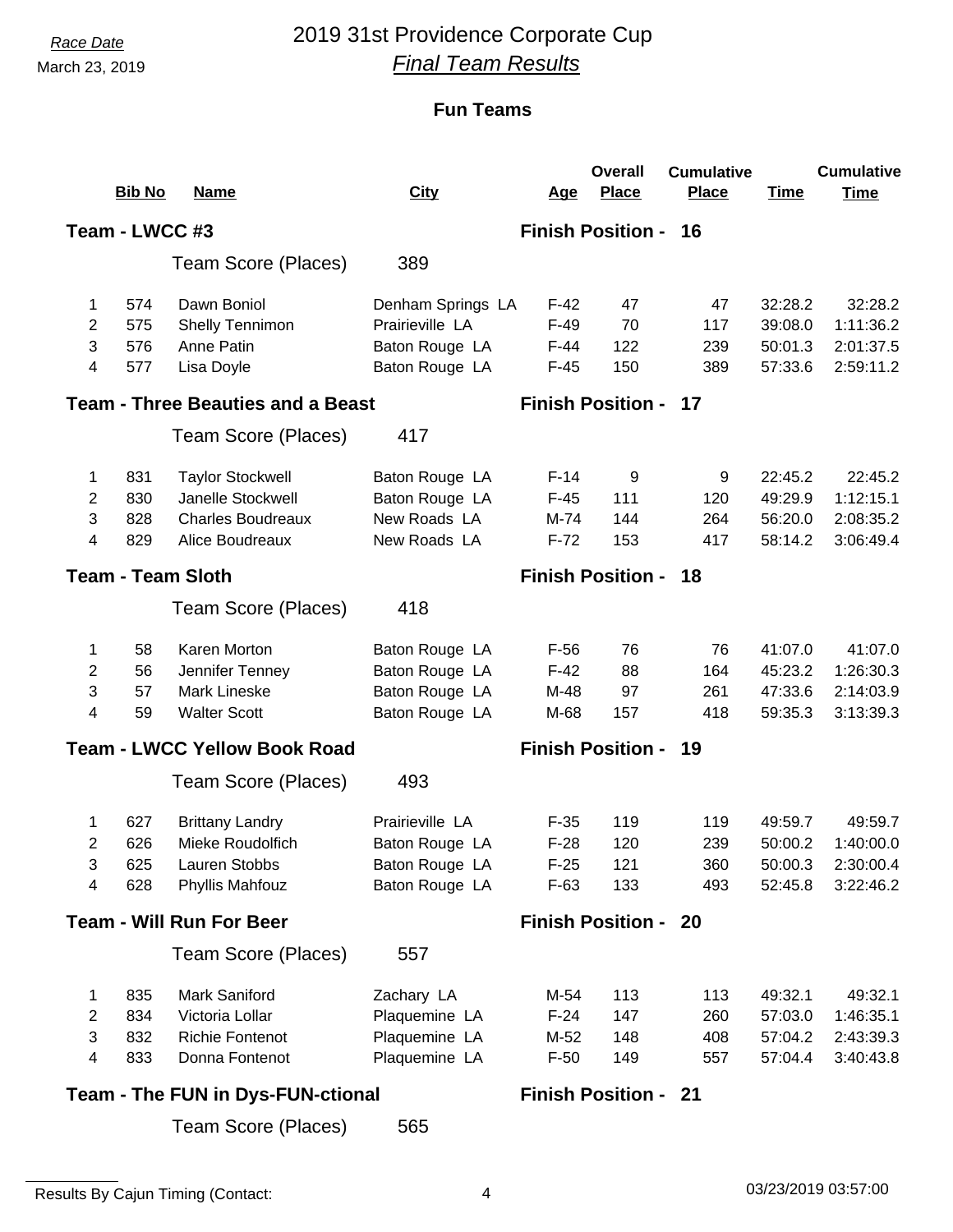# *Race Date* 2019 31st Providence Corporate Cup *Final Team Results*

### **Fun Teams**

|                                                                         |                |                                          |                   |            | <b>Overall</b>              | <b>Cumulative</b> |             | <b>Cumulative</b> |
|-------------------------------------------------------------------------|----------------|------------------------------------------|-------------------|------------|-----------------------------|-------------------|-------------|-------------------|
|                                                                         | <b>Bib No</b>  | <b>Name</b>                              | <b>City</b>       | <u>Age</u> | <b>Place</b>                | <b>Place</b>      | <b>Time</b> | <b>Time</b>       |
|                                                                         | Team - LWCC #3 |                                          |                   |            | <b>Finish Position - 16</b> |                   |             |                   |
|                                                                         |                | Team Score (Places)                      | 389               |            |                             |                   |             |                   |
| 1                                                                       | 574            | Dawn Boniol                              | Denham Springs LA | $F-42$     | 47                          | 47                | 32:28.2     | 32:28.2           |
| $\overline{2}$                                                          | 575            | Shelly Tennimon                          | Prairieville LA   | $F-49$     | 70                          | 117               | 39:08.0     | 1:11:36.2         |
| 3                                                                       | 576            | Anne Patin                               | Baton Rouge LA    | $F-44$     | 122                         | 239               | 50:01.3     | 2:01:37.5         |
| 4                                                                       | 577            | Lisa Doyle                               | Baton Rouge LA    | $F-45$     | 150                         | 389               | 57:33.6     | 2:59:11.2         |
|                                                                         |                | <b>Team - Three Beauties and a Beast</b> |                   |            | <b>Finish Position - 17</b> |                   |             |                   |
|                                                                         |                | Team Score (Places)                      | 417               |            |                             |                   |             |                   |
| 1                                                                       | 831            | <b>Taylor Stockwell</b>                  | Baton Rouge LA    | $F-14$     | 9                           | 9                 | 22:45.2     | 22:45.2           |
| $\overline{2}$                                                          | 830            | Janelle Stockwell                        | Baton Rouge LA    | $F-45$     | 111                         | 120               | 49:29.9     | 1:12:15.1         |
| 3                                                                       | 828            | <b>Charles Boudreaux</b>                 | New Roads LA      | M-74       | 144                         | 264               | 56:20.0     | 2:08:35.2         |
| 4                                                                       | 829            | Alice Boudreaux                          | New Roads LA      | $F-72$     | 153                         | 417               | 58:14.2     | 3:06:49.4         |
| <b>Team - Team Sloth</b>                                                |                |                                          |                   |            | <b>Finish Position - 18</b> |                   |             |                   |
|                                                                         |                | Team Score (Places)                      | 418               |            |                             |                   |             |                   |
| 1                                                                       | 58             | Karen Morton                             | Baton Rouge LA    | $F-56$     | 76                          | 76                | 41:07.0     | 41:07.0           |
| $\overline{2}$                                                          | 56             | Jennifer Tenney                          | Baton Rouge LA    | $F-42$     | 88                          | 164               | 45:23.2     | 1:26:30.3         |
| 3                                                                       | 57             | Mark Lineske                             | Baton Rouge LA    | M-48       | 97                          | 261               | 47:33.6     | 2:14:03.9         |
| 4                                                                       | 59             | <b>Walter Scott</b>                      | Baton Rouge LA    | M-68       | 157                         | 418               | 59:35.3     | 3:13:39.3         |
|                                                                         |                | <b>Team - LWCC Yellow Book Road</b>      |                   |            | <b>Finish Position - 19</b> |                   |             |                   |
|                                                                         |                | Team Score (Places)                      | 493               |            |                             |                   |             |                   |
| 1                                                                       | 627            | <b>Brittany Landry</b>                   | Prairieville LA   | $F-35$     | 119                         | 119               | 49:59.7     | 49:59.7           |
| 2                                                                       | 626            | Mieke Roudolfich                         | Baton Rouge LA    | $F-28$     | 120                         | 239               | 50:00.2     | 1:40:00.0         |
| 3                                                                       | 625            | Lauren Stobbs                            | Baton Rouge LA    | $F-25$     | 121                         | 360               | 50:00.3     | 2:30:00.4         |
| 4                                                                       | 628            | Phyllis Mahfouz                          | Baton Rouge LA    | $F-63$     | 133                         | 493               | 52:45.8     | 3:22:46.2         |
|                                                                         |                | <b>Team - Will Run For Beer</b>          |                   |            | <b>Finish Position - 20</b> |                   |             |                   |
|                                                                         |                | Team Score (Places)                      | 557               |            |                             |                   |             |                   |
| 1.                                                                      | 835            | <b>Mark Saniford</b>                     | Zachary LA        | M-54       | 113                         | 113               | 49:32.1     | 49:32.1           |
| $\overline{2}$                                                          | 834            | Victoria Lollar                          | Plaquemine LA     | $F-24$     | 147                         | 260               | 57:03.0     | 1:46:35.1         |
| 3                                                                       | 832            | <b>Richie Fontenot</b>                   | Plaquemine LA     | M-52       | 148                         | 408               | 57:04.2     | 2:43:39.3         |
| 4                                                                       | 833            | Donna Fontenot                           | Plaquemine LA     | $F-50$     | 149                         | 557               | 57:04.4     | 3:40:43.8         |
| <b>Team - The FUN in Dys-FUN-ctional</b><br><b>Finish Position - 21</b> |                |                                          |                   |            |                             |                   |             |                   |

565 Team Score (Places)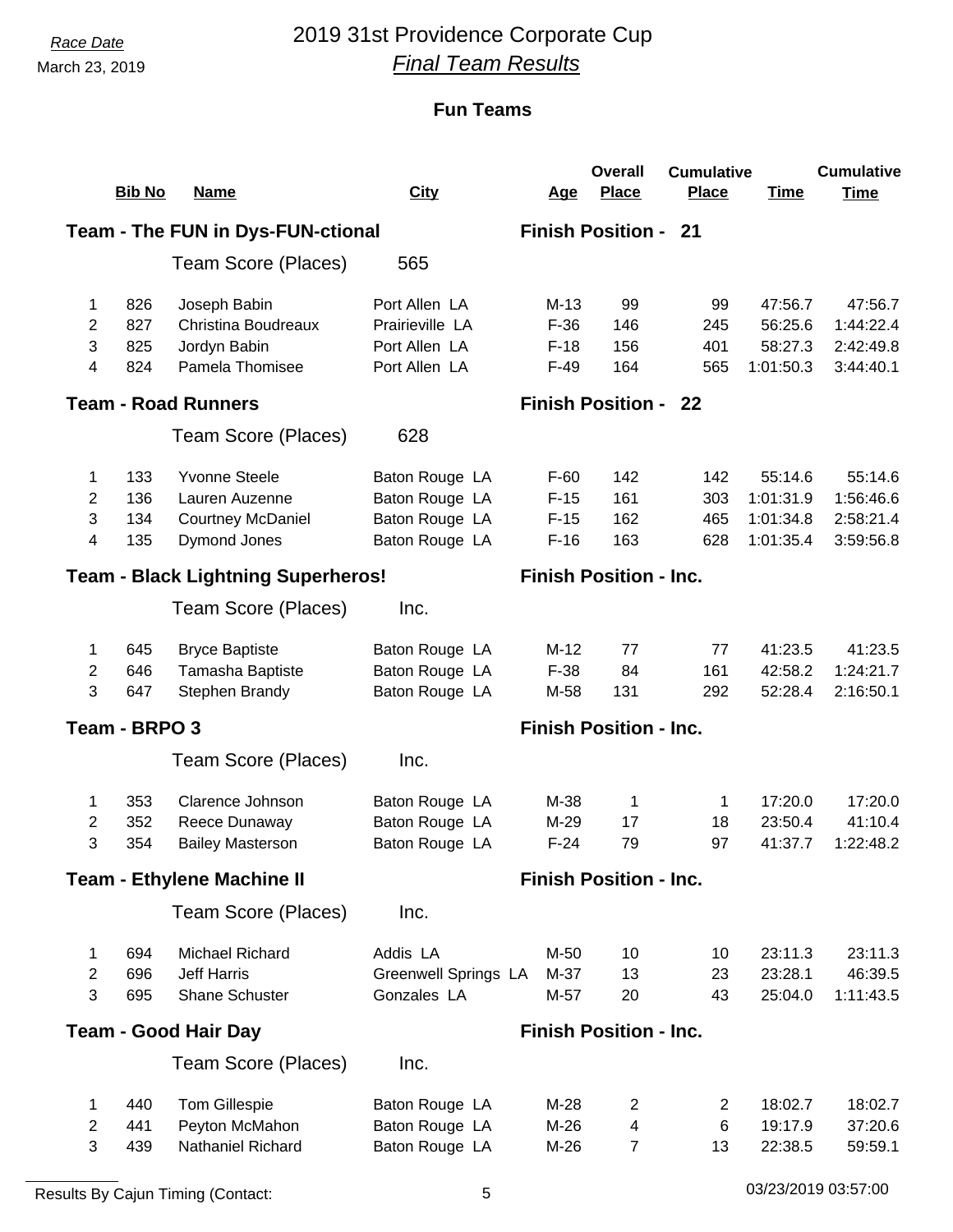# *Race Date* 2019 31st Providence Corporate Cup *Final Team Results*

|                | <b>Bib No</b> | <u>Name</u>                               | <b>City</b>                 | <u>Age</u> | <b>Overall</b><br><b>Place</b> | <b>Cumulative</b><br><b>Place</b> | <b>Time</b> | <b>Cumulative</b><br><b>Time</b> |
|----------------|---------------|-------------------------------------------|-----------------------------|------------|--------------------------------|-----------------------------------|-------------|----------------------------------|
|                |               |                                           |                             |            |                                |                                   |             |                                  |
|                |               | <b>Team - The FUN in Dys-FUN-ctional</b>  |                             |            | <b>Finish Position - 21</b>    |                                   |             |                                  |
|                |               | Team Score (Places)                       | 565                         |            |                                |                                   |             |                                  |
| 1              | 826           | Joseph Babin                              | Port Allen LA               | $M-13$     | 99                             | 99                                | 47:56.7     | 47:56.7                          |
| 2              | 827           | <b>Christina Boudreaux</b>                | Prairieville LA             | $F-36$     | 146                            | 245                               | 56:25.6     | 1:44:22.4                        |
| 3              | 825           | Jordyn Babin                              | Port Allen LA               | $F-18$     | 156                            | 401                               | 58:27.3     | 2:42:49.8                        |
| 4              | 824           | Pamela Thomisee                           | Port Allen LA               | $F-49$     | 164                            | 565                               | 1:01:50.3   | 3:44:40.1                        |
|                |               | <b>Team - Road Runners</b>                |                             |            | <b>Finish Position - 22</b>    |                                   |             |                                  |
|                |               | Team Score (Places)                       | 628                         |            |                                |                                   |             |                                  |
| 1              | 133           | <b>Yvonne Steele</b>                      | Baton Rouge LA              | $F-60$     | 142                            | 142                               | 55:14.6     | 55:14.6                          |
| $\overline{2}$ | 136           | Lauren Auzenne                            | Baton Rouge LA              | $F-15$     | 161                            | 303                               | 1:01:31.9   | 1:56:46.6                        |
| 3              | 134           | <b>Courtney McDaniel</b>                  | Baton Rouge LA              | $F-15$     | 162                            | 465                               | 1:01:34.8   | 2:58:21.4                        |
| 4              | 135           | Dymond Jones                              | Baton Rouge LA              | $F-16$     | 163                            | 628                               | 1:01:35.4   | 3:59:56.8                        |
|                |               | <b>Team - Black Lightning Superheros!</b> |                             |            | <b>Finish Position - Inc.</b>  |                                   |             |                                  |
|                |               | Team Score (Places)                       | Inc.                        |            |                                |                                   |             |                                  |
| 1              | 645           | <b>Bryce Baptiste</b>                     | Baton Rouge LA              | $M-12$     | 77                             | 77                                | 41:23.5     | 41:23.5                          |
| 2              | 646           | Tamasha Baptiste                          | Baton Rouge LA              | $F-38$     | 84                             | 161                               | 42:58.2     | 1:24:21.7                        |
| 3              | 647           | Stephen Brandy                            | Baton Rouge LA              | M-58       | 131                            | 292                               | 52:28.4     | 2:16:50.1                        |
|                | Team - BRPO 3 |                                           |                             |            | <b>Finish Position - Inc.</b>  |                                   |             |                                  |
|                |               | Team Score (Places)                       | Inc.                        |            |                                |                                   |             |                                  |
| 1              | 353           | Clarence Johnson                          | Baton Rouge LA              | M-38       | 1                              | 1                                 | 17:20.0     | 17:20.0                          |
| 2              | 352           | Reece Dunaway                             | Baton Rouge LA              | M-29       | 17                             | 18                                | 23:50.4     | 41:10.4                          |
| 3              | 354           | <b>Bailey Masterson</b>                   | Baton Rouge LA              | $F-24$     | 79                             | 97                                | 41:37.7     | 1:22:48.2                        |
|                |               | <b>Team - Ethylene Machine II</b>         |                             |            | <b>Finish Position - Inc.</b>  |                                   |             |                                  |
|                |               | Team Score (Places)                       | Inc.                        |            |                                |                                   |             |                                  |
| 1              | 694           | Michael Richard                           | Addis LA                    | M-50       | 10                             | 10                                | 23:11.3     | 23:11.3                          |
| $\mathbf{2}$   | 696           | <b>Jeff Harris</b>                        | <b>Greenwell Springs LA</b> | M-37       | 13                             | 23                                | 23:28.1     | 46:39.5                          |
| 3              | 695           | Shane Schuster                            | Gonzales LA                 | M-57       | 20                             | 43                                | 25:04.0     | 1:11:43.5                        |
|                |               | <b>Team - Good Hair Day</b>               |                             |            | <b>Finish Position - Inc.</b>  |                                   |             |                                  |
|                |               | Team Score (Places)                       | Inc.                        |            |                                |                                   |             |                                  |
| 1              | 440           | <b>Tom Gillespie</b>                      | Baton Rouge LA              | $M-28$     | $\overline{2}$                 | $\overline{2}$                    | 18:02.7     | 18:02.7                          |
| 2              | 441           | Peyton McMahon                            | Baton Rouge LA              | $M-26$     | $\overline{\mathbf{4}}$        | 6                                 | 19:17.9     | 37:20.6                          |
| 3              | 439           | Nathaniel Richard                         | Baton Rouge LA              | $M-26$     | $\overline{7}$                 | 13                                | 22:38.5     | 59:59.1                          |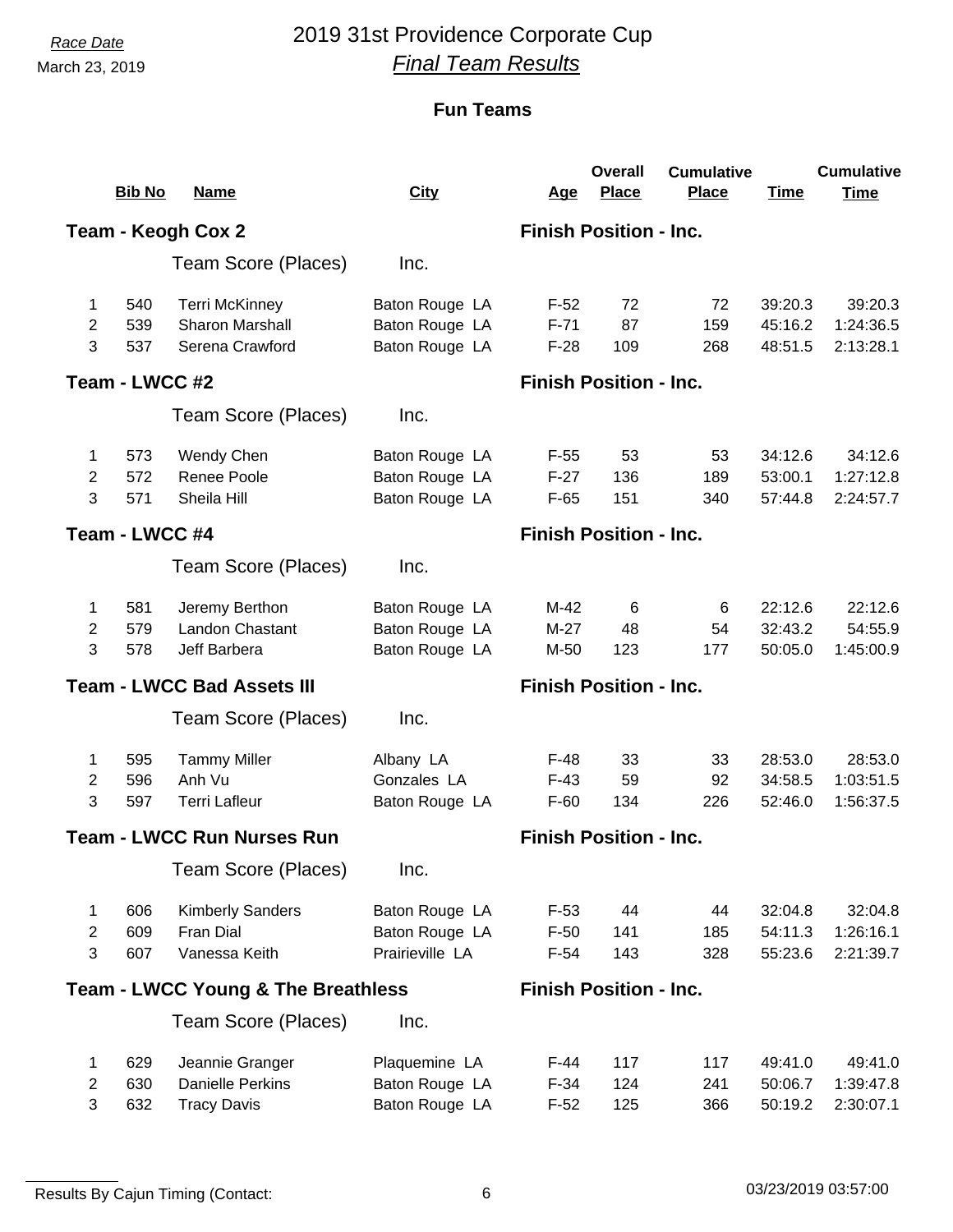# *Race Date* 2019 31st Providence Corporate Cup *Final Team Results*

|                                   |                |                                               |                 |                               | <b>Overall</b>                | <b>Cumulative</b> |             | <b>Cumulative</b> |  |
|-----------------------------------|----------------|-----------------------------------------------|-----------------|-------------------------------|-------------------------------|-------------------|-------------|-------------------|--|
|                                   | <b>Bib No</b>  | <b>Name</b>                                   | <b>City</b>     | <u>Age</u>                    | <b>Place</b>                  | <b>Place</b>      | <b>Time</b> | <b>Time</b>       |  |
|                                   |                | Team - Keogh Cox 2                            |                 |                               | <b>Finish Position - Inc.</b> |                   |             |                   |  |
|                                   |                | Team Score (Places)                           | Inc.            |                               |                               |                   |             |                   |  |
| $\mathbf{1}$                      | 540            | <b>Terri McKinney</b>                         | Baton Rouge LA  | $F-52$                        | 72                            | 72                | 39:20.3     | 39:20.3           |  |
| 2                                 | 539            | <b>Sharon Marshall</b>                        | Baton Rouge LA  | $F-71$                        | 87                            | 159               | 45:16.2     | 1:24:36.5         |  |
| 3                                 | 537            | Serena Crawford                               | Baton Rouge LA  | $F-28$                        | 109                           | 268               | 48:51.5     | 2:13:28.1         |  |
|                                   | Team - LWCC #2 |                                               |                 |                               | <b>Finish Position - Inc.</b> |                   |             |                   |  |
|                                   |                | Team Score (Places)                           | Inc.            |                               |                               |                   |             |                   |  |
| 1                                 | 573            | Wendy Chen                                    | Baton Rouge LA  | $F-55$                        | 53                            | 53                | 34:12.6     | 34:12.6           |  |
| 2                                 | 572            | Renee Poole                                   | Baton Rouge LA  | $F-27$                        | 136                           | 189               | 53:00.1     | 1:27:12.8         |  |
| 3                                 | 571            | Sheila Hill                                   | Baton Rouge LA  | $F-65$                        | 151                           | 340               | 57:44.8     | 2:24:57.7         |  |
| Team - LWCC #4                    |                |                                               |                 |                               | <b>Finish Position - Inc.</b> |                   |             |                   |  |
|                                   |                | Team Score (Places)                           | Inc.            |                               |                               |                   |             |                   |  |
| 1                                 | 581            | Jeremy Berthon                                | Baton Rouge LA  | M-42                          | 6                             | 6                 | 22:12.6     | 22:12.6           |  |
| $\overline{2}$                    | 579            | Landon Chastant                               | Baton Rouge LA  | $M-27$                        | 48                            | 54                | 32:43.2     | 54:55.9           |  |
| 3                                 | 578            | Jeff Barbera                                  | Baton Rouge LA  | M-50                          | 123                           | 177               | 50:05.0     | 1:45:00.9         |  |
| <b>Team - LWCC Bad Assets III</b> |                |                                               |                 |                               | <b>Finish Position - Inc.</b> |                   |             |                   |  |
|                                   |                | Team Score (Places)                           | Inc.            |                               |                               |                   |             |                   |  |
| 1                                 | 595            | <b>Tammy Miller</b>                           | Albany LA       | $F-48$                        | 33                            | 33                | 28:53.0     | 28:53.0           |  |
| 2                                 | 596            | Anh Vu                                        | Gonzales LA     | $F-43$                        | 59                            | 92                | 34:58.5     | 1:03:51.5         |  |
| 3                                 | 597            | <b>Terri Lafleur</b>                          | Baton Rouge LA  | $F-60$                        | 134                           | 226               | 52:46.0     | 1:56:37.5         |  |
|                                   |                | <b>Team - LWCC Run Nurses Run</b>             |                 | <b>Finish Position - Inc.</b> |                               |                   |             |                   |  |
|                                   |                | Team Score (Places)                           | Inc.            |                               |                               |                   |             |                   |  |
| $\mathbf 1$                       | 606            | <b>Kimberly Sanders</b>                       | Baton Rouge LA  | $F-53$                        | 44                            | 44                | 32:04.8     | 32:04.8           |  |
| $\overline{2}$                    | 609            | Fran Dial                                     | Baton Rouge LA  | $F-50$                        | 141                           | 185               | 54:11.3     | 1:26:16.1         |  |
| 3                                 | 607            | Vanessa Keith                                 | Prairieville LA | $F-54$                        | 143                           | 328               | 55:23.6     | 2:21:39.7         |  |
|                                   |                | <b>Team - LWCC Young &amp; The Breathless</b> |                 | <b>Finish Position - Inc.</b> |                               |                   |             |                   |  |
|                                   |                | Team Score (Places)                           | Inc.            |                               |                               |                   |             |                   |  |
| 1                                 | 629            | Jeannie Granger                               | Plaquemine LA   | $F-44$                        | 117                           | 117               | 49:41.0     | 49:41.0           |  |
| 2                                 | 630            | <b>Danielle Perkins</b>                       | Baton Rouge LA  | $F-34$                        | 124                           | 241               | 50:06.7     | 1:39:47.8         |  |
| $\mathbf{3}$                      | 632            | <b>Tracy Davis</b>                            | Baton Rouge LA  | $F-52$                        | 125                           | 366               | 50:19.2     | 2:30:07.1         |  |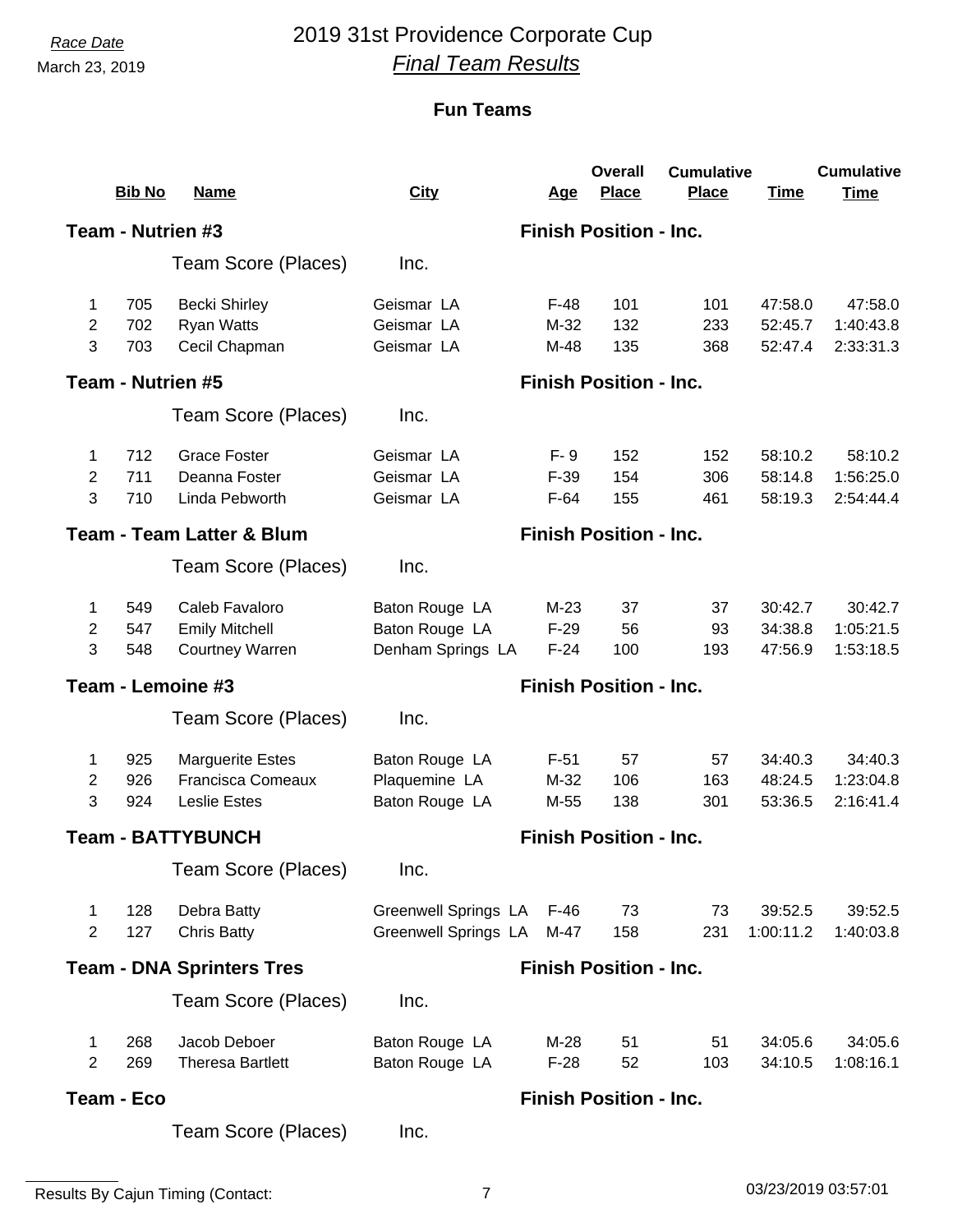# *Race Date* 2019 31st Providence Corporate Cup *Final Team Results*

|                   | <b>Bib No</b>     | <b>Name</b>                          | <b>City</b>                   | <u>Age</u>                    | <b>Overall</b><br><b>Place</b> | <b>Cumulative</b><br><b>Place</b> | <b>Time</b> | <b>Cumulative</b><br><b>Time</b> |  |
|-------------------|-------------------|--------------------------------------|-------------------------------|-------------------------------|--------------------------------|-----------------------------------|-------------|----------------------------------|--|
|                   | Team - Nutrien #3 |                                      |                               | <b>Finish Position - Inc.</b> |                                |                                   |             |                                  |  |
|                   |                   | Team Score (Places)                  | Inc.                          |                               |                                |                                   |             |                                  |  |
| 1                 | 705               | <b>Becki Shirley</b>                 | Geismar LA                    | $F-48$                        | 101                            | 101                               | 47:58.0     | 47:58.0                          |  |
| $\overline{2}$    | 702               | <b>Ryan Watts</b>                    | Geismar LA                    | $M-32$                        | 132                            | 233                               | 52:45.7     | 1:40:43.8                        |  |
| 3                 | 703               | Cecil Chapman                        | Geismar LA                    | M-48                          | 135                            | 368                               | 52:47.4     | 2:33:31.3                        |  |
| Team - Nutrien #5 |                   |                                      | <b>Finish Position - Inc.</b> |                               |                                |                                   |             |                                  |  |
|                   |                   | Team Score (Places)                  | Inc.                          |                               |                                |                                   |             |                                  |  |
| 1                 | 712               | <b>Grace Foster</b>                  | Geismar LA                    | $F - 9$                       | 152                            | 152                               | 58:10.2     | 58:10.2                          |  |
| $\overline{2}$    | 711               | Deanna Foster                        | Geismar LA                    | $F-39$                        | 154                            | 306                               | 58:14.8     | 1:56:25.0                        |  |
| 3                 | 710               | Linda Pebworth                       | Geismar LA                    | $F-64$                        | 155                            | 461                               | 58:19.3     | 2:54:44.4                        |  |
|                   |                   | <b>Team - Team Latter &amp; Blum</b> |                               |                               | <b>Finish Position - Inc.</b>  |                                   |             |                                  |  |
|                   |                   | Team Score (Places)                  | Inc.                          |                               |                                |                                   |             |                                  |  |
| 1                 | 549               | Caleb Favaloro                       | Baton Rouge LA                | $M-23$                        | 37                             | 37                                | 30:42.7     | 30:42.7                          |  |
| $\overline{2}$    | 547               | <b>Emily Mitchell</b>                | Baton Rouge LA                | $F-29$                        | 56                             | 93                                | 34:38.8     | 1:05:21.5                        |  |
| 3                 | 548               | <b>Courtney Warren</b>               | Denham Springs LA             | $F-24$                        | 100                            | 193                               | 47:56.9     | 1:53:18.5                        |  |
|                   |                   | Team - Lemoine #3                    |                               |                               | <b>Finish Position - Inc.</b>  |                                   |             |                                  |  |
|                   |                   | Team Score (Places)                  | Inc.                          |                               |                                |                                   |             |                                  |  |
| 1                 | 925               | <b>Marguerite Estes</b>              | Baton Rouge LA                | $F-51$                        | 57                             | 57                                | 34:40.3     | 34:40.3                          |  |
| $\overline{2}$    | 926               | <b>Francisca Comeaux</b>             | Plaquemine LA                 | M-32                          | 106                            | 163                               | 48:24.5     | 1:23:04.8                        |  |
| 3                 | 924               | <b>Leslie Estes</b>                  | Baton Rouge LA                | M-55                          | 138                            | 301                               | 53:36.5     | 2:16:41.4                        |  |
|                   |                   | <b>Team - BATTYBUNCH</b>             |                               |                               | <b>Finish Position - Inc.</b>  |                                   |             |                                  |  |
|                   |                   | Team Score (Places)                  | Inc.                          |                               |                                |                                   |             |                                  |  |
| 1                 | 128               | Debra Batty                          | <b>Greenwell Springs LA</b>   | F-46                          | 73                             | 73                                | 39:52.5     | 39:52.5                          |  |
| $\overline{2}$    | 127               | <b>Chris Batty</b>                   | <b>Greenwell Springs LA</b>   | M-47                          | 158                            | 231                               | 1:00:11.2   | 1:40:03.8                        |  |
|                   |                   | <b>Team - DNA Sprinters Tres</b>     |                               |                               | <b>Finish Position - Inc.</b>  |                                   |             |                                  |  |
|                   |                   | Team Score (Places)                  | Inc.                          |                               |                                |                                   |             |                                  |  |
| 1                 | 268               | Jacob Deboer                         | Baton Rouge LA                | $M-28$                        | 51                             | 51                                | 34:05.6     | 34:05.6                          |  |
| $\overline{2}$    | 269               | <b>Theresa Bartlett</b>              | Baton Rouge LA                | $F-28$                        | 52                             | 103                               | 34:10.5     | 1:08:16.1                        |  |
|                   | Team - Eco        |                                      |                               | <b>Finish Position - Inc.</b> |                                |                                   |             |                                  |  |
|                   |                   | Team Score (Places)                  | Inc.                          |                               |                                |                                   |             |                                  |  |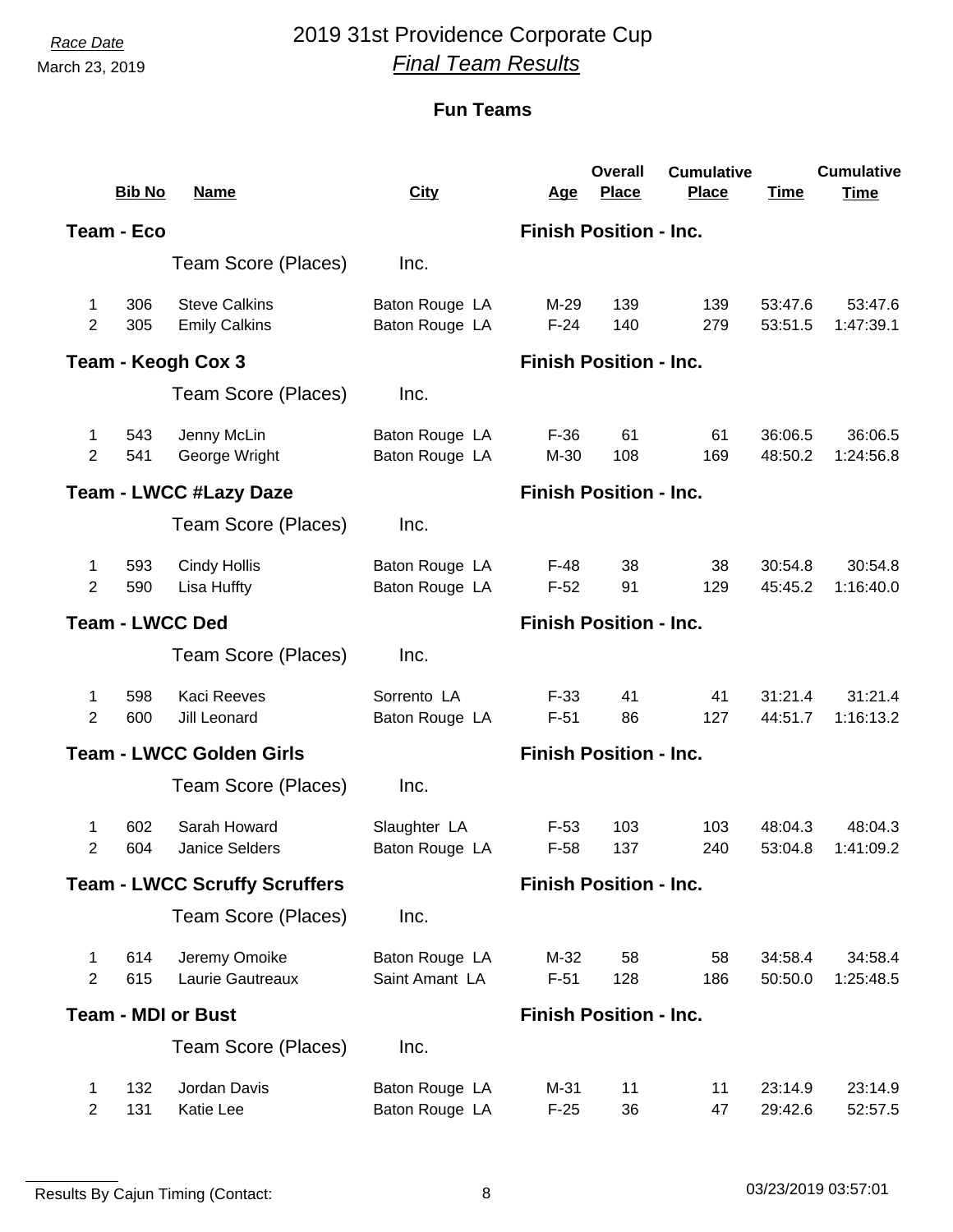## *Race Date* 2019 31st Providence Corporate Cup *Final Team Results*

|                        | <b>Bib No</b> | <b>Name</b>                                  | <b>City</b>                      | <u>Age</u>                    | <b>Overall</b><br><b>Place</b> | <b>Cumulative</b><br>Place | <b>Time</b>        | <b>Cumulative</b><br><b>Time</b> |
|------------------------|---------------|----------------------------------------------|----------------------------------|-------------------------------|--------------------------------|----------------------------|--------------------|----------------------------------|
|                        | Team - Eco    |                                              |                                  |                               | <b>Finish Position - Inc.</b>  |                            |                    |                                  |
|                        |               | Team Score (Places)                          | Inc.                             |                               |                                |                            |                    |                                  |
| 1<br>2                 | 306<br>305    | <b>Steve Calkins</b><br><b>Emily Calkins</b> | Baton Rouge LA<br>Baton Rouge LA | M-29<br>$F-24$                | 139<br>140                     | 139<br>279                 | 53:47.6<br>53:51.5 | 53:47.6<br>1:47:39.1             |
|                        |               | Team - Keogh Cox 3                           |                                  |                               | <b>Finish Position - Inc.</b>  |                            |                    |                                  |
|                        |               | Team Score (Places)                          | Inc.                             |                               |                                |                            |                    |                                  |
| 1<br>2                 | 543<br>541    | Jenny McLin<br>George Wright                 | Baton Rouge LA<br>Baton Rouge LA | $F-36$<br>M-30                | 61<br>108                      | 61<br>169                  | 36:06.5<br>48:50.2 | 36:06.5<br>1:24:56.8             |
|                        |               | <b>Team - LWCC #Lazy Daze</b>                |                                  | <b>Finish Position - Inc.</b> |                                |                            |                    |                                  |
|                        |               | Team Score (Places)                          | Inc.                             |                               |                                |                            |                    |                                  |
| $\mathbf 1$<br>2       | 593<br>590    | <b>Cindy Hollis</b><br>Lisa Huffty           | Baton Rouge LA<br>Baton Rouge LA | $F-48$<br>$F-52$              | 38<br>91                       | 38<br>129                  | 30:54.8<br>45:45.2 | 30:54.8<br>1:16:40.0             |
| <b>Team - LWCC Ded</b> |               |                                              |                                  |                               | <b>Finish Position - Inc.</b>  |                            |                    |                                  |
|                        |               | Team Score (Places)                          | Inc.                             |                               |                                |                            |                    |                                  |
| 1<br>$\overline{2}$    | 598<br>600    | <b>Kaci Reeves</b><br>Jill Leonard           | Sorrento LA<br>Baton Rouge LA    | $F-33$<br>$F-51$              | 41<br>86                       | 41<br>127                  | 31:21.4<br>44:51.7 | 31:21.4<br>1:16:13.2             |
|                        |               | <b>Team - LWCC Golden Girls</b>              | <b>Finish Position - Inc.</b>    |                               |                                |                            |                    |                                  |
|                        |               | Team Score (Places)                          | Inc.                             |                               |                                |                            |                    |                                  |
| 1<br>2                 | 602<br>604    | Sarah Howard<br><b>Janice Selders</b>        | Slaughter LA<br>Baton Rouge LA   | $F-53$<br>$F-58$              | 103<br>137                     | 103<br>240                 | 48:04.3<br>53:04.8 | 48:04.3<br>1:41:09.2             |
|                        |               | <b>Team - LWCC Scruffy Scruffers</b>         | <b>Finish Position - Inc.</b>    |                               |                                |                            |                    |                                  |
|                        |               | Team Score (Places)                          | Inc.                             |                               |                                |                            |                    |                                  |
| 1<br>$\overline{2}$    | 614<br>615    | Jeremy Omoike<br>Laurie Gautreaux            | Baton Rouge LA<br>Saint Amant LA | M-32<br>$F-51$                | 58<br>128                      | 58<br>186                  | 34:58.4<br>50:50.0 | 34:58.4<br>1:25:48.5             |
|                        |               | <b>Team - MDI or Bust</b>                    |                                  |                               | <b>Finish Position - Inc.</b>  |                            |                    |                                  |
|                        |               | Team Score (Places)                          | Inc.                             |                               |                                |                            |                    |                                  |
| 1<br>$\overline{2}$    | 132<br>131    | Jordan Davis<br>Katie Lee                    | Baton Rouge LA<br>Baton Rouge LA | M-31<br>$F-25$                | 11<br>36                       | 11<br>47                   | 23:14.9<br>29:42.6 | 23:14.9<br>52:57.5               |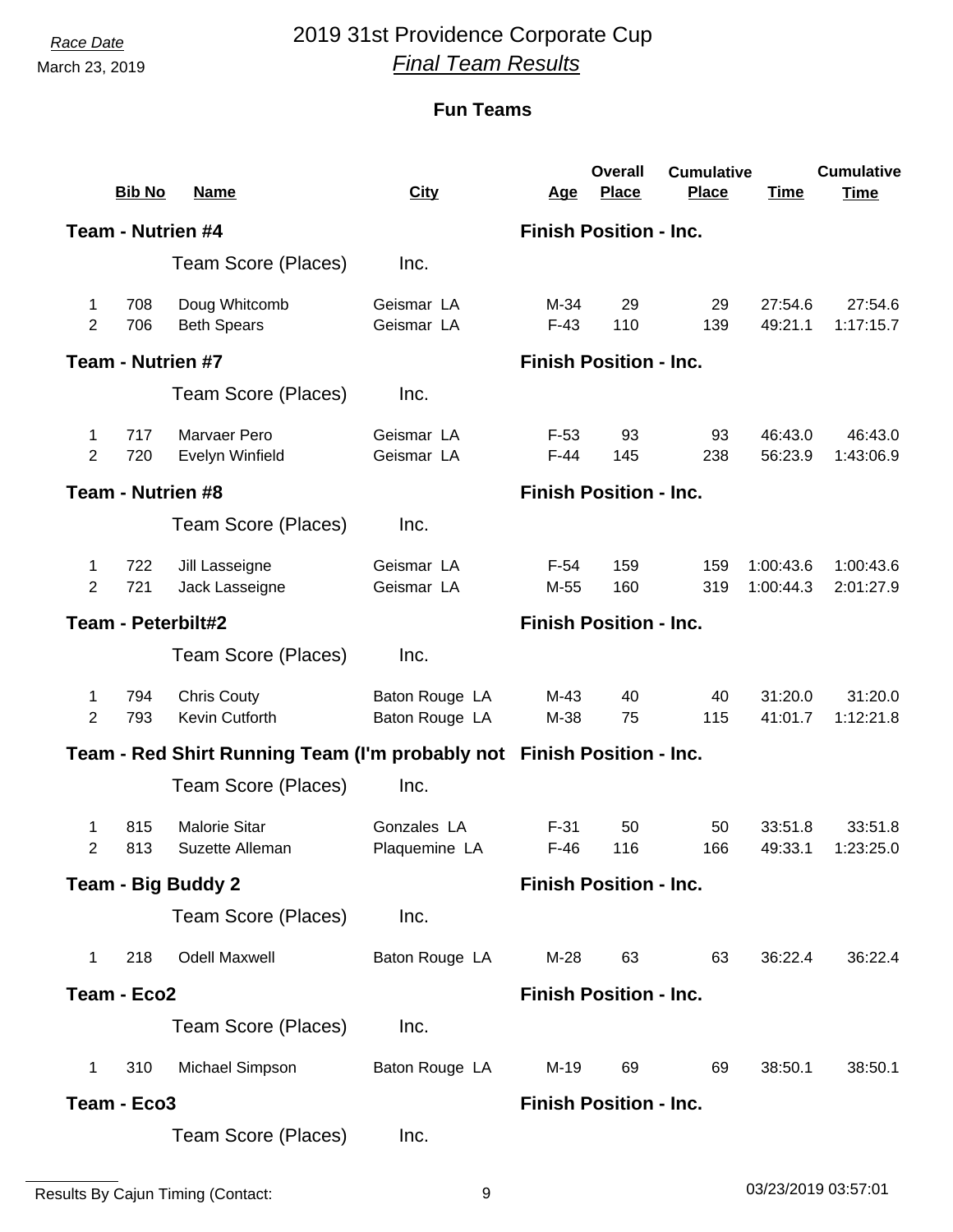# *Race Date* 2019 31st Providence Corporate Cup *Final Team Results*

|                     | <b>Bib No</b>     | <b>Name</b>                                                            | <b>City</b>                      | <u>Age</u>       | <b>Overall</b><br><b>Place</b> | <b>Cumulative</b><br>Place | <b>Time</b>            | <b>Cumulative</b><br><b>Time</b> |
|---------------------|-------------------|------------------------------------------------------------------------|----------------------------------|------------------|--------------------------------|----------------------------|------------------------|----------------------------------|
|                     | Team - Nutrien #4 |                                                                        |                                  |                  | <b>Finish Position - Inc.</b>  |                            |                        |                                  |
|                     |                   | Team Score (Places)                                                    | Inc.                             |                  |                                |                            |                        |                                  |
| 1<br>$\overline{2}$ | 708<br>706        | Doug Whitcomb<br><b>Beth Spears</b>                                    | Geismar LA<br>Geismar LA         | M-34<br>$F-43$   | 29<br>110                      | 29<br>139                  | 27:54.6<br>49:21.1     | 27:54.6<br>1:17:15.7             |
|                     | Team - Nutrien #7 |                                                                        |                                  |                  | <b>Finish Position - Inc.</b>  |                            |                        |                                  |
|                     |                   | Team Score (Places)                                                    | Inc.                             |                  |                                |                            |                        |                                  |
| 1<br>2              | 717<br>720        | Marvaer Pero<br>Evelyn Winfield                                        | Geismar LA<br>Geismar LA         | $F-53$<br>$F-44$ | 93<br>145                      | 93<br>238                  | 46:43.0<br>56:23.9     | 46:43.0<br>1:43:06.9             |
|                     | Team - Nutrien #8 |                                                                        |                                  |                  | <b>Finish Position - Inc.</b>  |                            |                        |                                  |
|                     |                   | Team Score (Places)                                                    | Inc.                             |                  |                                |                            |                        |                                  |
| 1<br>$\overline{2}$ | 722<br>721        | Jill Lasseigne<br>Jack Lasseigne                                       | Geismar LA<br>Geismar LA         | $F-54$<br>M-55   | 159<br>160                     | 159<br>319                 | 1:00:43.6<br>1:00:44.3 | 1:00:43.6<br>2:01:27.9           |
| Team - Peterbilt#2  |                   |                                                                        |                                  |                  | <b>Finish Position - Inc.</b>  |                            |                        |                                  |
|                     |                   | Team Score (Places)                                                    | Inc.                             |                  |                                |                            |                        |                                  |
| 1<br>$\overline{2}$ | 794<br>793        | <b>Chris Couty</b><br>Kevin Cutforth                                   | Baton Rouge LA<br>Baton Rouge LA | $M-43$<br>M-38   | 40<br>75                       | 40<br>115                  | 31:20.0<br>41:01.7     | 31:20.0<br>1:12:21.8             |
|                     |                   | Team - Red Shirt Running Team (I'm probably not Finish Position - Inc. |                                  |                  |                                |                            |                        |                                  |
|                     |                   | Team Score (Places)                                                    | Inc.                             |                  |                                |                            |                        |                                  |
| 1<br>2              | 815<br>813        | <b>Malorie Sitar</b><br>Suzette Alleman                                | Gonzales LA<br>Plaquemine LA     | $F-31$<br>$F-46$ | 50<br>116                      | 50<br>166                  | 33:51.8<br>49:33.1     | 33:51.8<br>1:23:25.0             |
|                     |                   | <b>Team - Big Buddy 2</b>                                              |                                  |                  | <b>Finish Position - Inc.</b>  |                            |                        |                                  |
|                     |                   | Team Score (Places)                                                    | Inc.                             |                  |                                |                            |                        |                                  |
| $\mathbf 1$         | 218               | <b>Odell Maxwell</b>                                                   | Baton Rouge LA                   | $M-28$           | 63                             | 63                         | 36:22.4                | 36:22.4                          |
|                     | Team - Eco2       |                                                                        |                                  |                  | <b>Finish Position - Inc.</b>  |                            |                        |                                  |
|                     |                   | Team Score (Places)                                                    | Inc.                             |                  |                                |                            |                        |                                  |
| 1                   | 310               | Michael Simpson                                                        | Baton Rouge LA                   | $M-19$           | 69                             | 69                         | 38:50.1                | 38:50.1                          |
|                     | Team - Eco3       |                                                                        |                                  |                  | <b>Finish Position - Inc.</b>  |                            |                        |                                  |
|                     |                   | Team Score (Places)                                                    | Inc.                             |                  |                                |                            |                        |                                  |